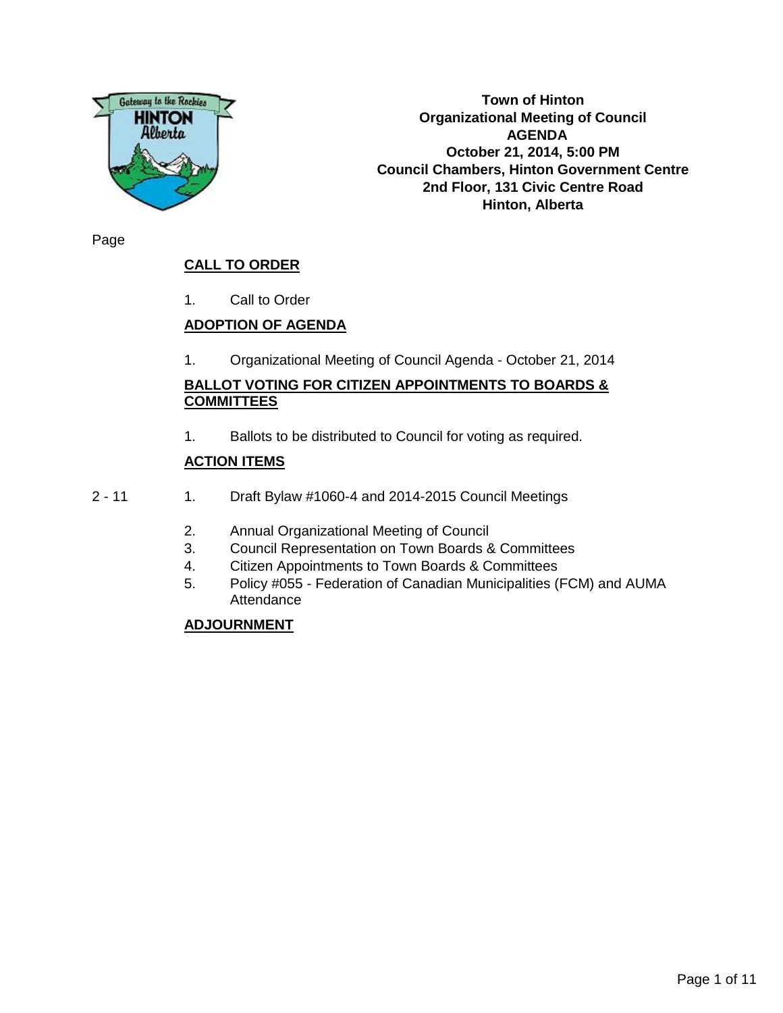

**Town of Hinton Organizational Meeting of Council AGENDA October 21, 2014, 5:00 PM Council Chambers, Hinton Government Centre 2nd Floor, 131 Civic Centre Road Hinton, Alberta**

Page

## **CALL TO ORDER**

1. Call to Order

## **ADOPTION OF AGENDA**

1. Organizational Meeting of Council Agenda - October 21, 2014

## **BALLOT VOTING FOR CITIZEN APPOINTMENTS TO BOARDS & COMMITTEES**

1. Ballots to be distributed to Council for voting as required.

## **ACTION ITEMS**

- 2 11 1. Draft Bylaw #1060-4 and 2014-2015 Council Meetings
	- 2. Annual Organizational Meeting of Council
	- 3. Council Representation on Town Boards & Committees
	- 4. Citizen Appointments to Town Boards & Committees
	- 5. Policy #055 Federation of Canadian Municipalities (FCM) and AUMA **Attendance**

## **ADJOURNMENT**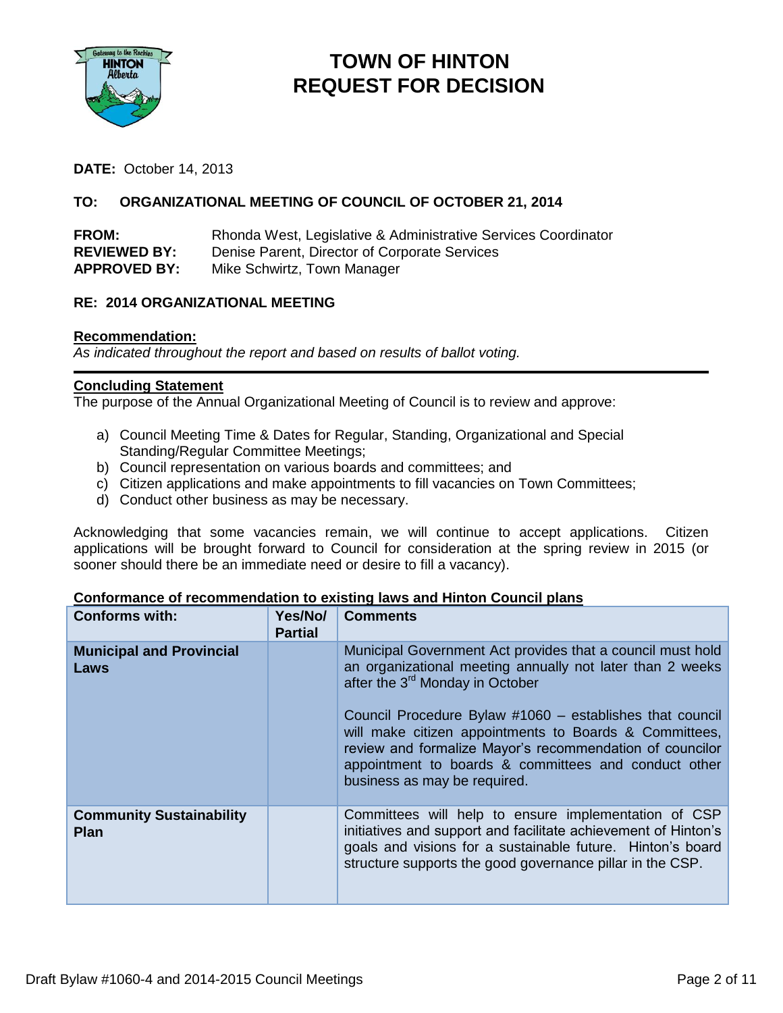

## **TOWN OF HINTON REQUEST FOR DECISION**

**DATE:** October 14, 2013

## **TO: ORGANIZATIONAL MEETING OF COUNCIL OF OCTOBER 21, 2014**

| <b>FROM:</b>        | Rhonda West, Legislative & Administrative Services Coordinator |
|---------------------|----------------------------------------------------------------|
| <b>REVIEWED BY:</b> | Denise Parent, Director of Corporate Services                  |
| <b>APPROVED BY:</b> | Mike Schwirtz, Town Manager                                    |

## **RE: 2014 ORGANIZATIONAL MEETING**

#### **Recommendation:**

*As indicated throughout the report and based on results of ballot voting.*

#### **Concluding Statement**

The purpose of the Annual Organizational Meeting of Council is to review and approve:

- a) Council Meeting Time & Dates for Regular, Standing, Organizational and Special Standing/Regular Committee Meetings;
- b) Council representation on various boards and committees; and
- c) Citizen applications and make appointments to fill vacancies on Town Committees;
- d) Conduct other business as may be necessary.

Acknowledging that some vacancies remain, we will continue to accept applications. Citizen applications will be brought forward to Council for consideration at the spring review in 2015 (or sooner should there be an immediate need or desire to fill a vacancy).

| <b>Conforms with:</b>                          | Yes/No/<br><b>Partial</b> | <b>Comments</b>                                                                                                                                                                                                                                                                                                                                                                                                                                  |
|------------------------------------------------|---------------------------|--------------------------------------------------------------------------------------------------------------------------------------------------------------------------------------------------------------------------------------------------------------------------------------------------------------------------------------------------------------------------------------------------------------------------------------------------|
| <b>Municipal and Provincial</b><br>Laws        |                           | Municipal Government Act provides that a council must hold<br>an organizational meeting annually not later than 2 weeks<br>after the 3 <sup>rd</sup> Monday in October<br>Council Procedure Bylaw #1060 – establishes that council<br>will make citizen appointments to Boards & Committees,<br>review and formalize Mayor's recommendation of councilor<br>appointment to boards & committees and conduct other<br>business as may be required. |
| <b>Community Sustainability</b><br><b>Plan</b> |                           | Committees will help to ensure implementation of CSP<br>initiatives and support and facilitate achievement of Hinton's<br>goals and visions for a sustainable future. Hinton's board<br>structure supports the good governance pillar in the CSP.                                                                                                                                                                                                |

#### **Conformance of recommendation to existing laws and Hinton Council plans**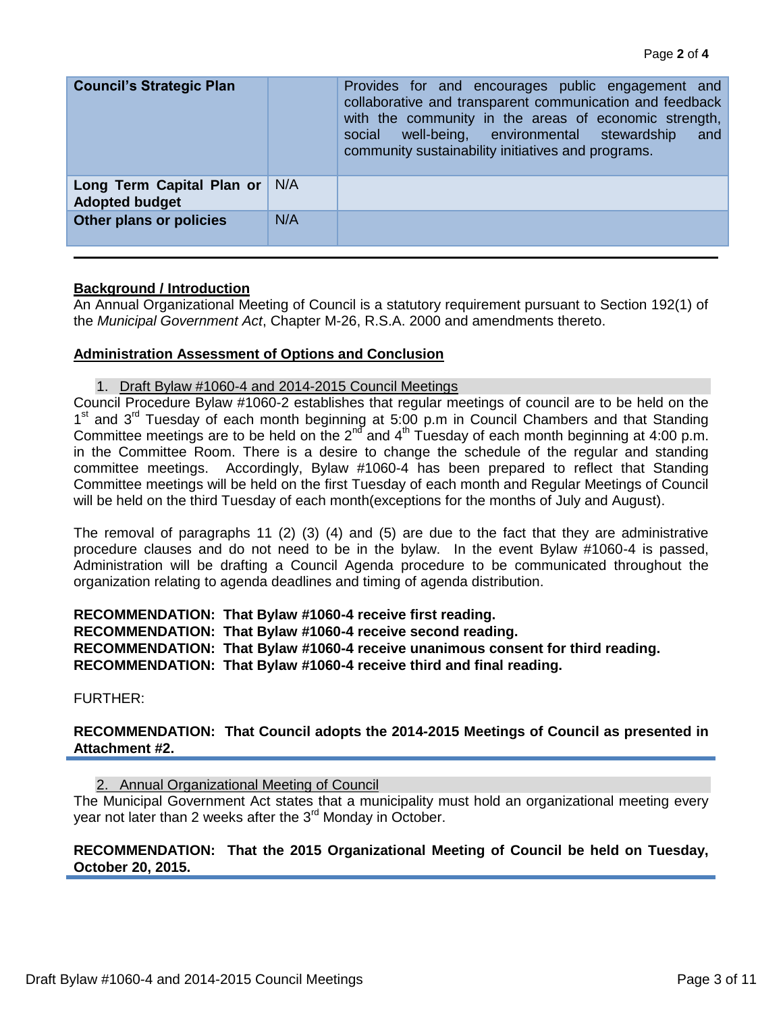| <b>Council's Strategic Plan</b>                    |     | Provides for and encourages public engagement and<br>collaborative and transparent communication and feedback<br>with the community in the areas of economic strength,<br>well-being, environmental stewardship<br>social<br>and<br>community sustainability initiatives and programs. |
|----------------------------------------------------|-----|----------------------------------------------------------------------------------------------------------------------------------------------------------------------------------------------------------------------------------------------------------------------------------------|
| Long Term Capital Plan or<br><b>Adopted budget</b> | N/A |                                                                                                                                                                                                                                                                                        |
| Other plans or policies                            | N/A |                                                                                                                                                                                                                                                                                        |

## **Background / Introduction**

An Annual Organizational Meeting of Council is a statutory requirement pursuant to Section 192(1) of the *Municipal Government Act*, Chapter M-26, R.S.A. 2000 and amendments thereto.

#### **Administration Assessment of Options and Conclusion**

1. Draft Bylaw #1060-4 and 2014-2015 Council Meetings

Council Procedure Bylaw #1060-2 establishes that regular meetings of council are to be held on the 1<sup>st</sup> and 3<sup>rd</sup> Tuesday of each month beginning at 5:00 p.m in Council Chambers and that Standing Committee meetings are to be held on the  $2^{nd}$  and  $4^{th}$  Tuesday of each month beginning at 4:00 p.m. in the Committee Room. There is a desire to change the schedule of the regular and standing committee meetings. Accordingly, Bylaw #1060-4 has been prepared to reflect that Standing Committee meetings will be held on the first Tuesday of each month and Regular Meetings of Council will be held on the third Tuesday of each month(exceptions for the months of July and August).

The removal of paragraphs 11 (2) (3) (4) and (5) are due to the fact that they are administrative procedure clauses and do not need to be in the bylaw. In the event Bylaw #1060-4 is passed, Administration will be drafting a Council Agenda procedure to be communicated throughout the organization relating to agenda deadlines and timing of agenda distribution.

## **RECOMMENDATION: That Bylaw #1060-4 receive first reading. RECOMMENDATION: That Bylaw #1060-4 receive second reading. RECOMMENDATION: That Bylaw #1060-4 receive unanimous consent for third reading. RECOMMENDATION: That Bylaw #1060-4 receive third and final reading.**

FURTHER:

## **RECOMMENDATION: That Council adopts the 2014-2015 Meetings of Council as presented in Attachment #2.**

2. Annual Organizational Meeting of Council

The Municipal Government Act states that a municipality must hold an organizational meeting every year not later than 2 weeks after the 3<sup>rd</sup> Monday in October.

## **RECOMMENDATION: That the 2015 Organizational Meeting of Council be held on Tuesday, October 20, 2015.**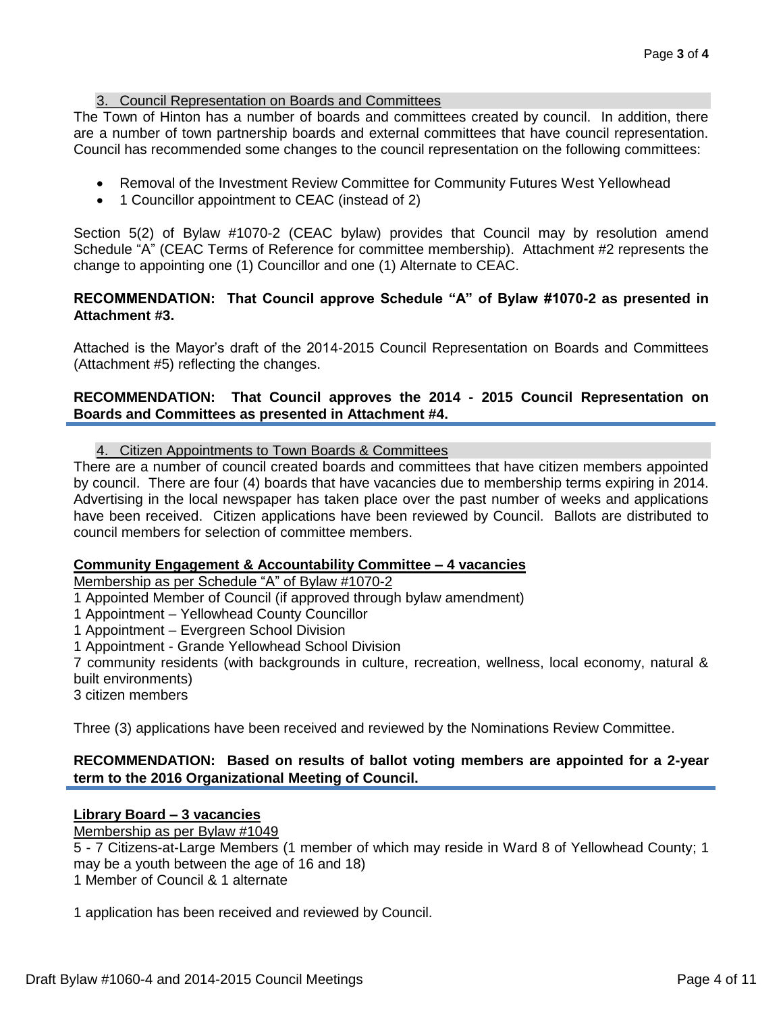## 3. Council Representation on Boards and Committees

The Town of Hinton has a number of boards and committees created by council. In addition, there are a number of town partnership boards and external committees that have council representation. Council has recommended some changes to the council representation on the following committees:

- Removal of the Investment Review Committee for Community Futures West Yellowhead
- 1 Councillor appointment to CEAC (instead of 2)

Section 5(2) of Bylaw #1070-2 (CEAC bylaw) provides that Council may by resolution amend Schedule "A" (CEAC Terms of Reference for committee membership). Attachment #2 represents the change to appointing one (1) Councillor and one (1) Alternate to CEAC.

## **RECOMMENDATION: That Council approve Schedule "A" of Bylaw #1070-2 as presented in Attachment #3.**

Attached is the Mayor's draft of the 2014-2015 Council Representation on Boards and Committees (Attachment #5) reflecting the changes.

## **RECOMMENDATION: That Council approves the 2014 - 2015 Council Representation on Boards and Committees as presented in Attachment #4.**

4. Citizen Appointments to Town Boards & Committees

There are a number of council created boards and committees that have citizen members appointed by council. There are four (4) boards that have vacancies due to membership terms expiring in 2014. Advertising in the local newspaper has taken place over the past number of weeks and applications have been received. Citizen applications have been reviewed by Council. Ballots are distributed to council members for selection of committee members.

## **Community Engagement & Accountability Committee – 4 vacancies**

Membership as per Schedule "A" of Bylaw #1070-2

1 Appointed Member of Council (if approved through bylaw amendment)

1 Appointment – Yellowhead County Councillor

1 Appointment – Evergreen School Division

1 Appointment - Grande Yellowhead School Division

7 community residents (with backgrounds in culture, recreation, wellness, local economy, natural & built environments)

3 citizen members

Three (3) applications have been received and reviewed by the Nominations Review Committee.

## **RECOMMENDATION: Based on results of ballot voting members are appointed for a 2-year term to the 2016 Organizational Meeting of Council.**

## **Library Board – 3 vacancies**

Membership as per Bylaw #1049

5 - 7 Citizens-at-Large Members (1 member of which may reside in Ward 8 of Yellowhead County; 1 may be a youth between the age of 16 and 18)

1 Member of Council & 1 alternate

1 application has been received and reviewed by Council.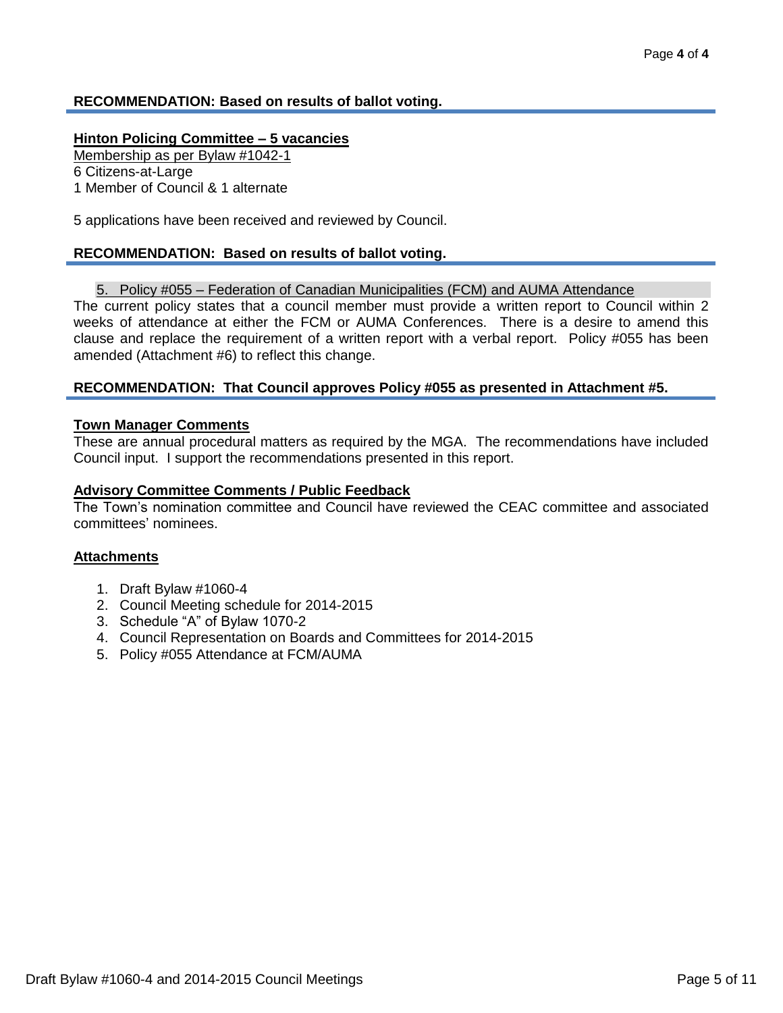## **RECOMMENDATION: Based on results of ballot voting.**

#### **Hinton Policing Committee – 5 vacancies**

Membership as per Bylaw #1042-1

6 Citizens-at-Large

1 Member of Council & 1 alternate

5 applications have been received and reviewed by Council.

#### **RECOMMENDATION: Based on results of ballot voting.**

#### 5. Policy #055 – Federation of Canadian Municipalities (FCM) and AUMA Attendance

The current policy states that a council member must provide a written report to Council within 2 weeks of attendance at either the FCM or AUMA Conferences. There is a desire to amend this clause and replace the requirement of a written report with a verbal report. Policy #055 has been amended (Attachment #6) to reflect this change.

#### **RECOMMENDATION: That Council approves Policy #055 as presented in Attachment #5.**

#### **Town Manager Comments**

These are annual procedural matters as required by the MGA. The recommendations have included Council input. I support the recommendations presented in this report.

#### **Advisory Committee Comments / Public Feedback**

The Town's nomination committee and Council have reviewed the CEAC committee and associated committees' nominees.

#### **Attachments**

- 1. Draft Bylaw #1060-4
- 2. Council Meeting schedule for 2014-2015
- 3. Schedule "A" of Bylaw 1070-2
- 4. Council Representation on Boards and Committees for 2014-2015
- 5. Policy #055 Attendance at FCM/AUMA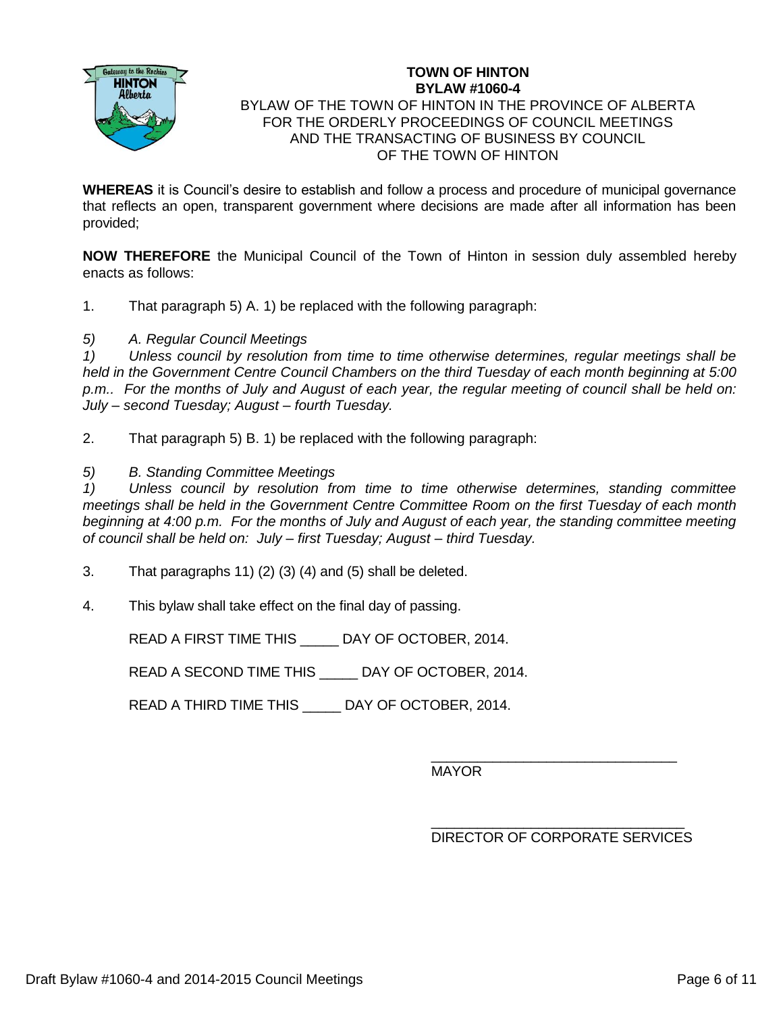

#### **TOWN OF HINTON BYLAW #1060-4** BYLAW OF THE TOWN OF HINTON IN THE PROVINCE OF ALBERTA FOR THE ORDERLY PROCEEDINGS OF COUNCIL MEETINGS AND THE TRANSACTING OF BUSINESS BY COUNCIL OF THE TOWN OF HINTON

**WHEREAS** it is Council's desire to establish and follow a process and procedure of municipal governance that reflects an open, transparent government where decisions are made after all information has been provided;

**NOW THEREFORE** the Municipal Council of the Town of Hinton in session duly assembled hereby enacts as follows:

1. That paragraph 5) A. 1) be replaced with the following paragraph:

*5) A. Regular Council Meetings*

*1) Unless council by resolution from time to time otherwise determines, regular meetings shall be held in the Government Centre Council Chambers on the third Tuesday of each month beginning at 5:00 p.m.. For the months of July and August of each year, the regular meeting of council shall be held on: July – second Tuesday; August – fourth Tuesday.*

2. That paragraph 5) B. 1) be replaced with the following paragraph:

*5) B. Standing Committee Meetings*

*1) Unless council by resolution from time to time otherwise determines, standing committee meetings shall be held in the Government Centre Committee Room on the first Tuesday of each month beginning at 4:00 p.m. For the months of July and August of each year, the standing committee meeting of council shall be held on: July – first Tuesday; August – third Tuesday.*

- 3. That paragraphs 11) (2) (3) (4) and (5) shall be deleted.
- 4. This bylaw shall take effect on the final day of passing.

READ A FIRST TIME THIS \_\_\_\_\_ DAY OF OCTOBER, 2014.

READ A SECOND TIME THIS \_\_\_\_\_ DAY OF OCTOBER, 2014.

READ A THIRD TIME THIS DAY OF OCTOBER, 2014.

\_\_\_\_\_\_\_\_\_\_\_\_\_\_\_\_\_\_\_\_\_\_\_\_\_\_\_\_\_\_\_\_ MAYOR

\_\_\_\_\_\_\_\_\_\_\_\_\_\_\_\_\_\_\_\_\_\_\_\_\_\_\_\_\_\_\_\_\_ DIRECTOR OF CORPORATE SERVICES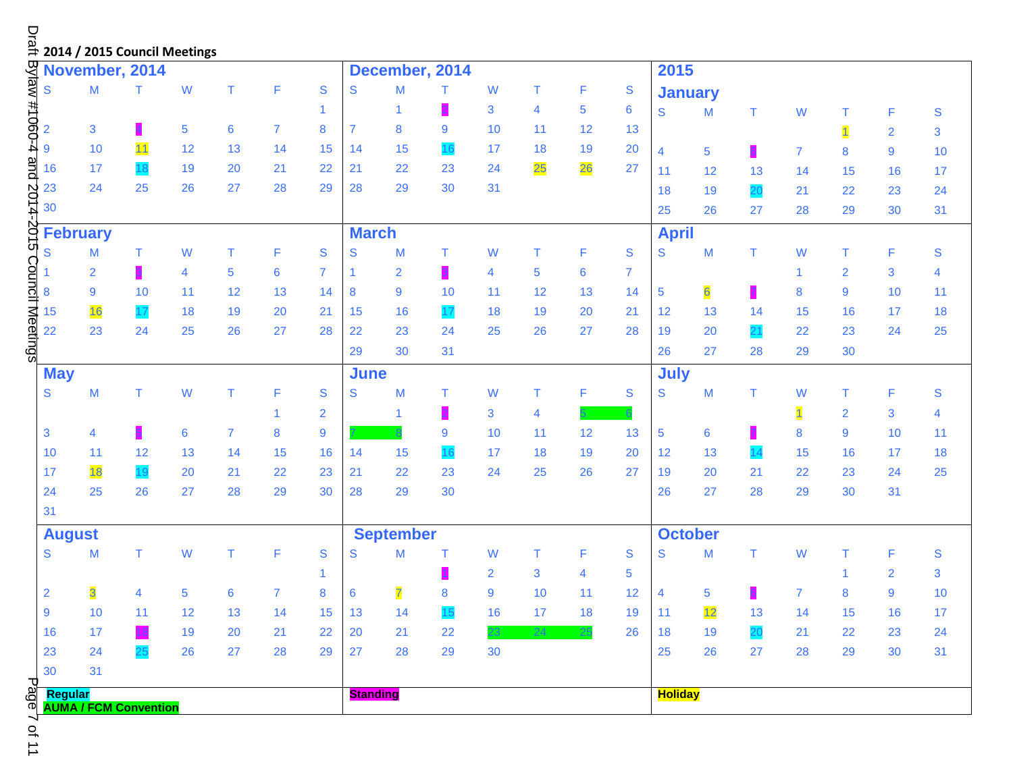|                                                                                                                                  |                 |                              |                | □<br>ai<br>⇒ 2014 / 2015 Council Meetings |                 |                |              |                 |                  |    |                |                |    |               |                |                |    |                |                |                |                |
|----------------------------------------------------------------------------------------------------------------------------------|-----------------|------------------------------|----------------|-------------------------------------------|-----------------|----------------|--------------|-----------------|------------------|----|----------------|----------------|----|---------------|----------------|----------------|----|----------------|----------------|----------------|----------------|
|                                                                                                                                  |                 | November, 2014               |                |                                           |                 |                |              |                 | December, 2014   |    |                |                |    |               | 2015           |                |    |                |                |                |                |
| Z ω οι σι Φ μ κι σι μ ω σι μ α π<br>Βylaw #1060-4 and 2014-2015 Council Meetings<br>Βylaw #1060-4 and 2014-2015 Council Meetings | $\mathbf S$     | M                            | T              | W                                         | T               | F              | S            | S               | M                | т  | W              | Т              | F  | S             |                | <b>January</b> |    |                |                |                |                |
|                                                                                                                                  |                 |                              |                |                                           |                 |                | 1            |                 | 1                |    | 3              | $\overline{4}$ | 5  | 6             | S              | M              | T  | W              | Τ              | F              | ${\mathsf S}$  |
|                                                                                                                                  |                 | $\mathbf{3}$                 |                | $\overline{5}$                            | $6\phantom{1}6$ | $\overline{7}$ | 8            | $\overline{7}$  | 8                | 9  | 10             | 11             | 12 | 13            |                |                |    |                | $\overline{1}$ | $\overline{2}$ | 3              |
|                                                                                                                                  |                 | 10                           | 11             | 12                                        | 13              | 14             | 15           | 14              | 15               | 16 | 17             | 18             | 19 | 20            | 4              | $\overline{5}$ |    | $\overline{7}$ | 8              | 9              | 10             |
|                                                                                                                                  | 16              | 17                           |                | 19                                        | 20              | 21             | 22           | 21              | 22               | 23 | 24             | 25             | 26 | 27            | 11             | 12             | 13 | 14             | 15             | 16             | 17             |
|                                                                                                                                  | 23              | 24                           | 25             | 26                                        | 27              | 28             | 29           | 28              | 29               | 30 | 31             |                |    |               | 18             | 19             | 20 | 21             | 22             | 23             | 24             |
|                                                                                                                                  | 30              |                              |                |                                           |                 |                |              |                 |                  |    |                |                |    |               | 25             | 26             | 27 | 28             | 29             | 30             | 31             |
|                                                                                                                                  | <b>February</b> |                              |                |                                           |                 |                |              | <b>March</b>    |                  |    |                |                |    |               | <b>April</b>   |                |    |                |                |                |                |
|                                                                                                                                  |                 | M                            | т              | W                                         | Τ               | F              | S            | S               | M                | т  | W              | Т              | F  | ${\mathsf S}$ | S              | M              | Τ  | W              | Τ              | F              | ${\mathsf S}$  |
|                                                                                                                                  |                 | 2                            |                | 4                                         | 5               | 6              | 7            |                 | $\overline{2}$   |    | 4              | $\overline{5}$ | 6  | 7             |                |                |    |                | $\overline{2}$ | $\mathbf{3}$   | $\overline{4}$ |
|                                                                                                                                  |                 | 9                            | 10             | 11                                        | 12              | 13             | 14           | 8               | 9                | 10 | 11             | 12             | 13 | 14            | 5              | 6              |    | 8              | 9              | 10             | 11             |
|                                                                                                                                  | 15              | 16                           |                | 18                                        | 19              | 20             | 21           | 15              | 16               | 17 | 18             | 19             | 20 | 21            | 12             | 13             | 14 | 15             | 16             | 17             | 18             |
|                                                                                                                                  | 22              | 23                           | 24             | 25                                        | 26              | 27             | 28           | 22              | 23               | 24 | 25             | 26             | 27 | 28            | 19             | 20             | 21 | 22             | 23             | 24             | 25             |
|                                                                                                                                  |                 |                              |                |                                           |                 |                |              | 29              | 30               | 31 |                |                |    |               | 26             | 27             | 28 | 29             | 30             |                |                |
|                                                                                                                                  | <b>May</b>      |                              |                |                                           |                 |                |              | <b>June</b>     |                  |    |                |                |    |               | July           |                |    |                |                |                |                |
|                                                                                                                                  | ${\mathsf S}$   | M                            | T.             | W                                         | T               | F              | S            | S               | M                | Τ  | W              | Τ              | F  | ${\mathsf S}$ | S              | M              | Τ  | W              | т              | F              | ${\mathsf S}$  |
|                                                                                                                                  |                 |                              |                |                                           |                 | 1              | 2            |                 | 1                |    | 3              | 4              |    |               |                |                |    |                | $\overline{c}$ | $\mathbf{3}$   | 4              |
|                                                                                                                                  | 3               | 4                            |                | $\boldsymbol{6}$                          | 7               | 8              | 9            |                 |                  | 9  | 10             | 11             | 12 | 13            | 5              | 6              |    | 8              | 9              | 10             | 11             |
|                                                                                                                                  | 10              | 11                           | 12             | 13                                        | 14              | 15             | 16           | 14              | 15               | 16 | 17             | 18             | 19 | 20            | 12             | 13             | 14 | 15             | 16             | 17             | 18             |
|                                                                                                                                  | 17              | 18                           |                | 20                                        | 21              | 22             | 23           | 21              | 22               | 23 | 24             | 25             | 26 | 27            | 19             | 20             | 21 | 22             | 23             | 24             | 25             |
|                                                                                                                                  | 24              | 25                           | 26             | 27                                        | 28              | 29             | 30           | 28              | 29               | 30 |                |                |    |               | 26             | 27             | 28 | 29             | 30             | 31             |                |
|                                                                                                                                  | 31              |                              |                |                                           |                 |                |              |                 |                  |    |                |                |    |               |                |                |    |                |                |                |                |
|                                                                                                                                  | <b>August</b>   |                              |                |                                           |                 |                |              |                 | <b>September</b> |    |                |                |    |               |                | <b>October</b> |    |                |                |                |                |
|                                                                                                                                  | S               | M                            | T.             | W                                         | T               | F              | S            | S               | M                | т  | W              | Τ              | F  | ${\mathsf S}$ | S              | M              | T  | W              | Τ              | F              | ${\mathsf S}$  |
|                                                                                                                                  |                 |                              |                |                                           |                 |                | $\mathbf{1}$ |                 |                  |    | $\overline{2}$ | 3              | 4  | 5             |                |                |    |                | 1              | $\overline{2}$ | 3              |
|                                                                                                                                  | $\overline{2}$  | $\overline{\mathbf{3}}$      | $\overline{4}$ | 5 <sub>5</sub>                            | $6^{\circ}$     | $\overline{7}$ | 8            | 6               | $\overline{7}$   | 8  | 9              | 10             | 11 | 12            | $\overline{4}$ | 5 <sub>5</sub> | 6  | $\overline{7}$ | $8\phantom{1}$ | $\overline{9}$ | 10             |
|                                                                                                                                  | 9               | 10                           | 11             | 12                                        | 13              | 14             | 15           | 13              | 14               | 15 | 16             | 17             | 18 | 19            | 11             | 12             | 13 | 14             | 15             | 16             | 17             |
|                                                                                                                                  | 16              | 17                           |                | 19                                        | 20              | 21             | 22           | 20              | 21               | 22 | 23.            | 24             | 25 | 26            | 18             | 19             | 20 | 21             | 22             | 23             | 24             |
|                                                                                                                                  | 23              | 24                           |                | 26                                        | 27              | 28             | 29           | 27              | 28               | 29 | 30             |                |    |               | 25             | 26             | 27 | 28             | 29             | 30             | 31             |
| ᠊ᠣ                                                                                                                               | 30              | 31                           |                |                                           |                 |                |              |                 |                  |    |                |                |    |               |                |                |    |                |                |                |                |
| age                                                                                                                              | Regular         | <b>AUMA / FCM Convention</b> |                |                                           |                 |                |              | <b>Standing</b> |                  |    |                |                |    |               | <b>Holiday</b> |                |    |                |                |                |                |

Page 7 of 11یَ 7 of 11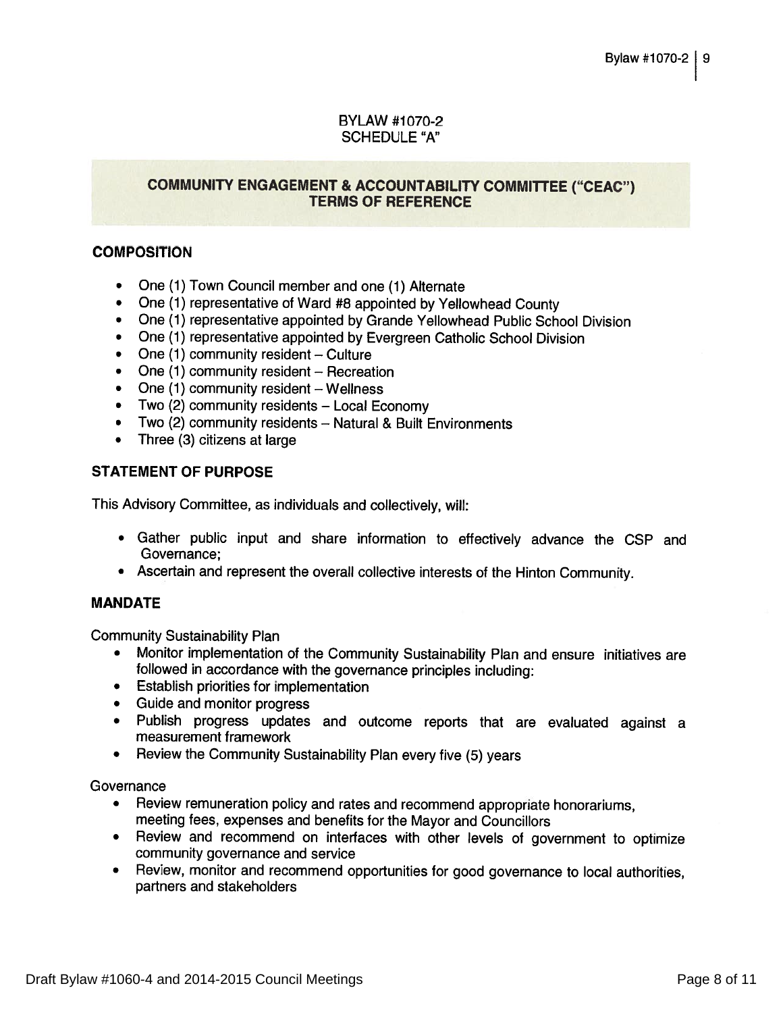## **BYLAW #1070-2 SCHEDULE "A"**

## **COMMUNITY ENGAGEMENT & ACCOUNTABILITY COMMITTEE ("CEAC") TERMS OF REFERENCE**

## **COMPOSITION**

- One (1) Town Council member and one (1) Alternate
- One (1) representative of Ward #8 appointed by Yellowhead County
- One (1) representative appointed by Grande Yellowhead Public School Division
- One (1) representative appointed by Evergreen Catholic School Division
- One (1) community resident Culture
- One  $(1)$  community resident Recreation
- One  $(1)$  community resident Wellness
- Two (2) community residents Local Economy  $\bullet$
- Two (2) community residents Natural & Built Environments
- Three (3) citizens at large

## **STATEMENT OF PURPOSE**

This Advisory Committee, as individuals and collectively, will:

- Gather public input and share information to effectively advance the CSP and Governance:
- Ascertain and represent the overall collective interests of the Hinton Community.

## **MANDATE**

**Community Sustainability Plan** 

- Monitor implementation of the Community Sustainability Plan and ensure initiatives are followed in accordance with the governance principles including:
- Establish priorities for implementation
- Guide and monitor progress
- · Publish progress updates and outcome reports that are evaluated against a measurement framework
- Review the Community Sustainability Plan every five (5) years

Governance

- Review remuneration policy and rates and recommend appropriate honorariums, meeting fees, expenses and benefits for the Mayor and Councillors
- Review and recommend on interfaces with other levels of government to optimize community governance and service
- Review, monitor and recommend opportunities for good governance to local authorities, partners and stakeholders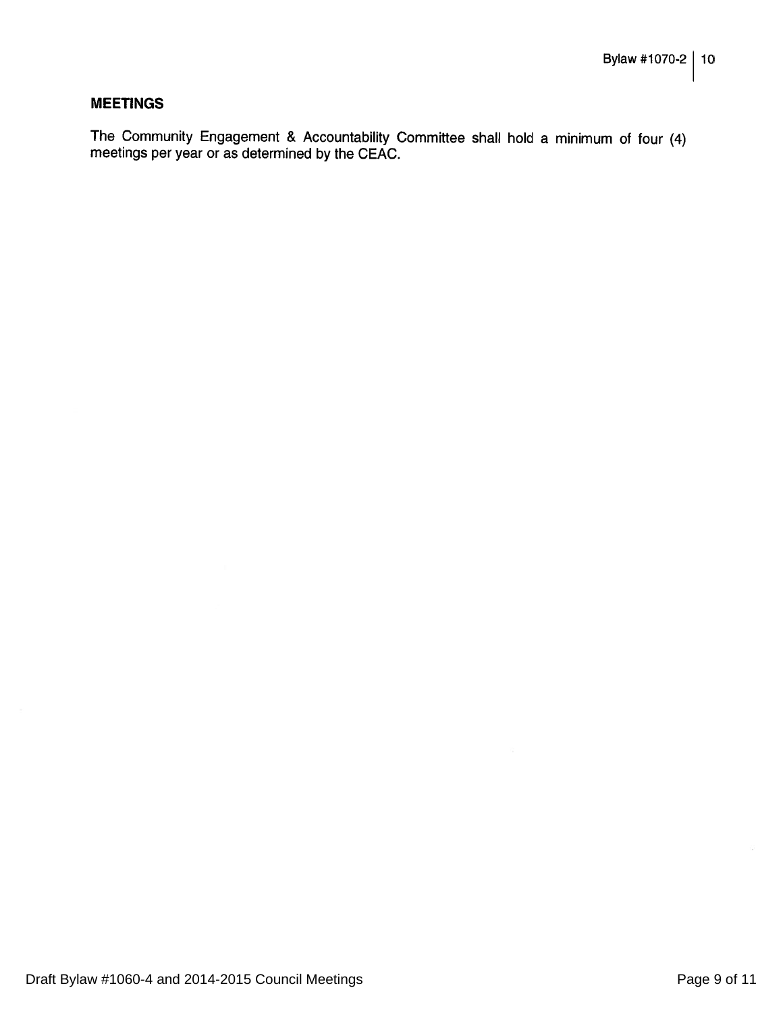#### **MEETINGS**

The Community Engagement & Accountability Committee shall hold a minimum of four (4) meetings per year or as determined by the CEAC.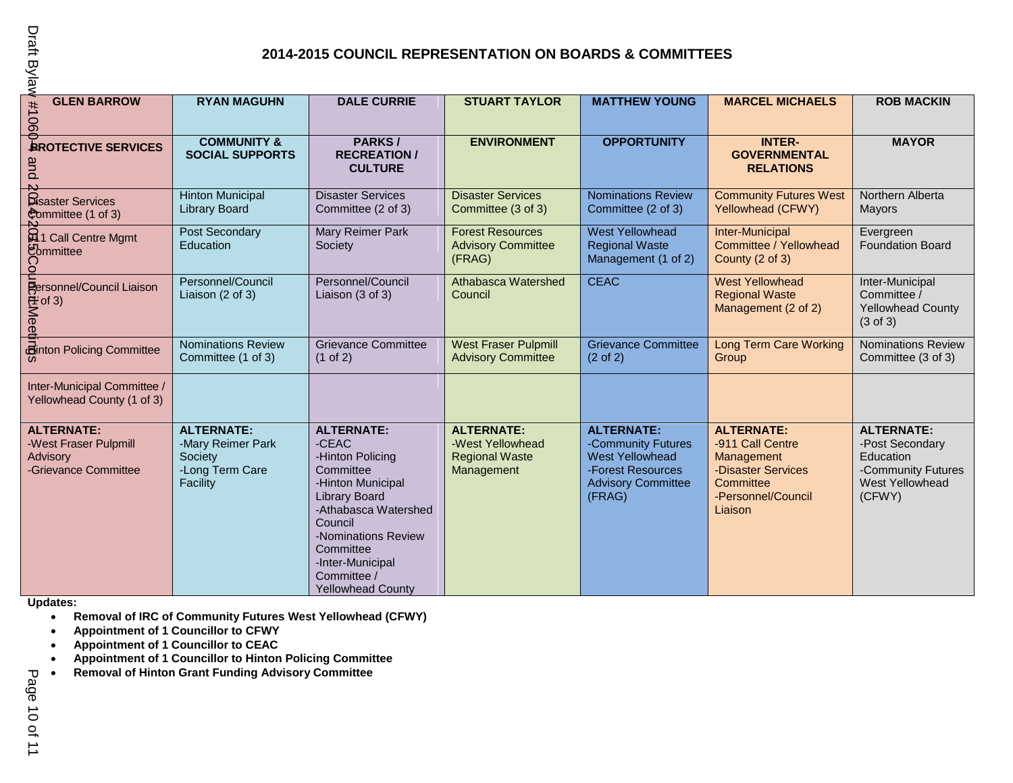## **2014-2015 COUNCIL REPRESENTATION ON BOARDS & COMMITTEES**

| Draft Bylaw<br><b>2014-2015 COUNCIL REPRESENTATION ON BOARDS &amp; COMMITTEES</b>              |                                                                                  |                                                                                                                                                                                                                                                |                                                                              |                                                                                                                               |                                                                                                                         |                                                                                                      |  |  |  |
|------------------------------------------------------------------------------------------------|----------------------------------------------------------------------------------|------------------------------------------------------------------------------------------------------------------------------------------------------------------------------------------------------------------------------------------------|------------------------------------------------------------------------------|-------------------------------------------------------------------------------------------------------------------------------|-------------------------------------------------------------------------------------------------------------------------|------------------------------------------------------------------------------------------------------|--|--|--|
| <b>GLEN BARROW</b><br>1106                                                                     | <b>RYAN MAGUHN</b>                                                               | <b>DALE CURRIE</b>                                                                                                                                                                                                                             | <b>STUART TAYLOR</b>                                                         | <b>MATTHEW YOUNG</b>                                                                                                          | <b>MARCEL MICHAELS</b>                                                                                                  | <b>ROB MACKIN</b>                                                                                    |  |  |  |
| 0<br><b>AROTECTIVE SERVICES</b><br>and                                                         | <b>COMMUNITY &amp;</b><br><b>SOCIAL SUPPORTS</b>                                 | PARKS/<br><b>RECREATION /</b><br><b>CULTURE</b>                                                                                                                                                                                                | <b>ENVIRONMENT</b>                                                           | <b>OPPORTUNITY</b>                                                                                                            | <b>INTER-</b><br><b>GOVERNMENTAL</b><br><b>RELATIONS</b>                                                                | <b>MAYOR</b>                                                                                         |  |  |  |
| Bisaster Services<br>Committee (1 of 3)                                                        | <b>Hinton Municipal</b><br><b>Library Board</b>                                  | <b>Disaster Services</b><br>Committee (2 of 3)                                                                                                                                                                                                 | <b>Disaster Services</b><br>Committee (3 of 3)                               | <b>Nominations Review</b><br>Committee (2 of 3)                                                                               | <b>Community Futures West</b><br>Yellowhead (CFWY)                                                                      | Northern Alberta<br>Mayors                                                                           |  |  |  |
| <b>Et 1</b> Call Centre Mgmt<br>Committee<br>C<br>$\circ$                                      | Post Secondary<br>Education                                                      | Mary Reimer Park<br>Society                                                                                                                                                                                                                    | <b>Forest Resources</b><br><b>Advisory Committee</b><br>(FRAG)               | <b>West Yellowhead</b><br><b>Regional Waste</b><br>Management (1 of 2)                                                        | Inter-Municipal<br>Committee / Yellowhead<br>County (2 of 3)                                                            | Evergreen<br>Foundation Board                                                                        |  |  |  |
| Expressionnel/Council Liaison<br>The of 3)<br>and the of 3)<br>distribution Policing Committee | Personnel/Council<br>Liaison (2 of 3)                                            | Personnel/Council<br>Liaison (3 of 3)                                                                                                                                                                                                          | <b>Athabasca Watershed</b><br>Council                                        | <b>CEAC</b>                                                                                                                   | <b>West Yellowhead</b><br><b>Regional Waste</b><br>Management (2 of 2)                                                  | Inter-Municipal<br>Committee /<br><b>Yellowhead County</b><br>$(3 \text{ of } 3)$                    |  |  |  |
|                                                                                                | <b>Nominations Review</b><br>Committee (1 of 3)                                  | <b>Grievance Committee</b><br>$(1$ of 2)                                                                                                                                                                                                       | <b>West Fraser Pulpmill</b><br><b>Advisory Committee</b>                     | <b>Grievance Committee</b><br>$(2 \text{ of } 2)$                                                                             | <b>Long Term Care Working</b><br>Group                                                                                  | <b>Nominations Review</b><br>Committee (3 of 3)                                                      |  |  |  |
| Inter-Municipal Committee /<br>Yellowhead County (1 of 3)                                      |                                                                                  |                                                                                                                                                                                                                                                |                                                                              |                                                                                                                               |                                                                                                                         |                                                                                                      |  |  |  |
| <b>ALTERNATE:</b><br>-West Fraser Pulpmill<br>Advisory<br>-Grievance Committee                 | <b>ALTERNATE:</b><br>-Mary Reimer Park<br>Society<br>-Long Term Care<br>Facility | <b>ALTERNATE:</b><br>-CEAC<br>-Hinton Policing<br>Committee<br>-Hinton Municipal<br><b>Library Board</b><br>-Athabasca Watershed<br>Council<br>-Nominations Review<br>Committee<br>-Inter-Municipal<br>Committee /<br><b>Yellowhead County</b> | <b>ALTERNATE:</b><br>-West Yellowhead<br><b>Regional Waste</b><br>Management | <b>ALTERNATE:</b><br>-Community Futures<br><b>West Yellowhead</b><br>-Forest Resources<br><b>Advisory Committee</b><br>(FRAG) | <b>ALTERNATE:</b><br>-911 Call Centre<br>Management<br>-Disaster Services<br>Committee<br>-Personnel/Council<br>Liaison | <b>ALTERNATE:</b><br>-Post Secondary<br>Education<br>-Community Futures<br>West Yellowhead<br>(CFWY) |  |  |  |

**Updates:**

- **Removal of IRC of Community Futures West Yellowhead (CFWY)**
- **Appointment of 1 Councillor to CFWY**
- **Appointment of 1 Councillor to CEAC**
- **Appointment of 1 Councillor to Hinton Policing Committee**
- **Removal of Hinton Grant Funding Advisory Committee**